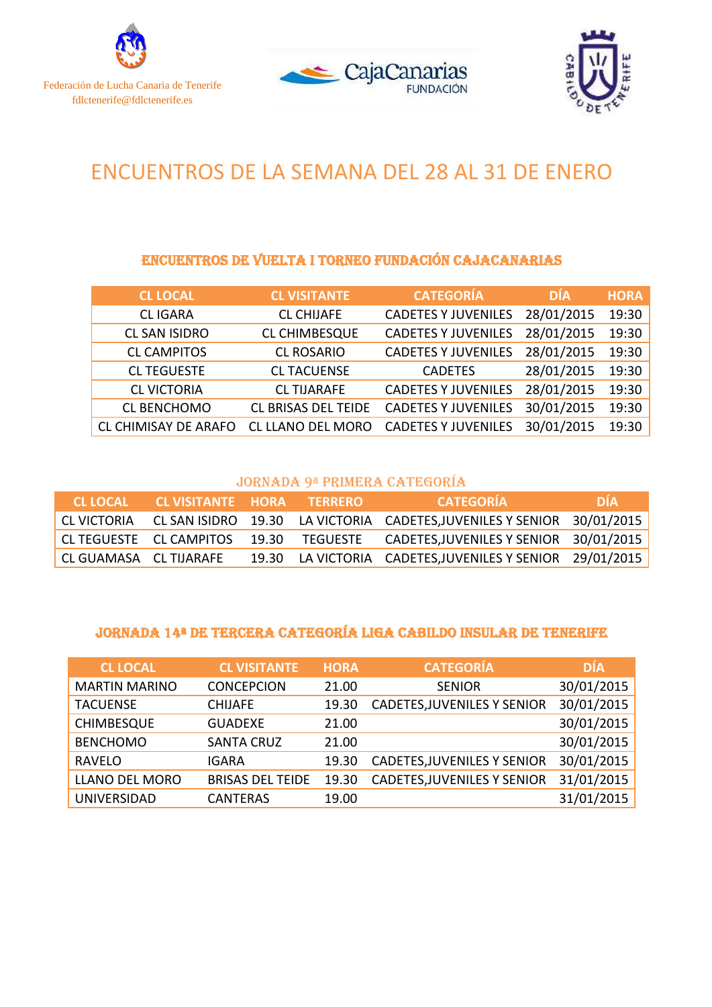





# ENCUENTROS DE LA SEMANA DEL 28 AL 31 DE ENERO

## ENCUENTROS DE VUELTA I TORNEO FUNDACIÓN CAJACANARIAS

| <b>CL LOCAL</b>             | <b>CL VISITANTE</b>        | <b>CATEGORÍA</b>           | <b>DÍA</b> | <b>HORA</b> |
|-----------------------------|----------------------------|----------------------------|------------|-------------|
| <b>CLIGARA</b>              | <b>CL CHIJAFE</b>          | <b>CADETES Y JUVENILES</b> | 28/01/2015 | 19:30       |
| <b>CL SAN ISIDRO</b>        | <b>CL CHIMBESQUE</b>       | <b>CADETES Y JUVENILES</b> | 28/01/2015 | 19:30       |
| <b>CL CAMPITOS</b>          | <b>CL ROSARIO</b>          | <b>CADETES Y JUVENILES</b> | 28/01/2015 | 19:30       |
| <b>CL TEGUESTE</b>          | <b>CL TACUENSE</b>         | <b>CADETES</b>             | 28/01/2015 | 19:30       |
| <b>CL VICTORIA</b>          | <b>CL TIJARAFE</b>         | <b>CADETES Y JUVENILES</b> | 28/01/2015 | 19:30       |
| <b>CL BENCHOMO</b>          | <b>CL BRISAS DEL TEIDE</b> | <b>CADETES Y JUVENILES</b> | 30/01/2015 | 19:30       |
| <b>CL CHIMISAY DE ARAFO</b> | <b>CL LLANO DEL MORO</b>   | <b>CADETES Y JUVENILES</b> | 30/01/2015 | 19:30       |

### JORNADA 9ª PRIMERA CATEGORÍA

|                        | CL LOCAL CL VISITANTE HORA TERRERO |  | <b>CATEGORÍA</b>                                                              | <b>DÍA</b> |
|------------------------|------------------------------------|--|-------------------------------------------------------------------------------|------------|
| LCL VICTORIA           |                                    |  | CL SAN ISIDRO 19.30 LA VICTORIA CADETES, JUVENILES Y SENIOR 30/01/2015        |            |
|                        |                                    |  | CL TEGUESTE CL CAMPITOS 19.30 TEGUESTE CADETES, JUVENILES Y SENIOR 30/01/2015 |            |
| CL GUAMASA CL TIJARAFE |                                    |  | 19.30 LA VICTORIA CADETES, JUVENILES Y SENIOR 29/01/2015                      |            |

## JORNADA 14ª DE TERCERA CATEGORÍA LIGA CABILDO INSULAR DE TENERIFE

| <b>CL LOCAL</b>      | <b>CL VISITANTE</b>     | <b>HORA</b> | <b>CATEGORÍA</b>                   | <b>DÍA</b> |
|----------------------|-------------------------|-------------|------------------------------------|------------|
| <b>MARTIN MARINO</b> | <b>CONCEPCION</b>       | 21.00       | <b>SENIOR</b>                      | 30/01/2015 |
| <b>TACUENSE</b>      | <b>CHIJAFE</b>          | 19.30       | <b>CADETES, JUVENILES Y SENIOR</b> | 30/01/2015 |
| <b>CHIMBESQUE</b>    | <b>GUADEXE</b>          | 21.00       |                                    | 30/01/2015 |
| <b>BENCHOMO</b>      | <b>SANTA CRUZ</b>       | 21.00       |                                    | 30/01/2015 |
| <b>RAVELO</b>        | <b>IGARA</b>            | 19.30       | <b>CADETES, JUVENILES Y SENIOR</b> | 30/01/2015 |
| LLANO DEL MORO       | <b>BRISAS DEL TEIDE</b> | 19.30       | <b>CADETES, JUVENILES Y SENIOR</b> | 31/01/2015 |
| UNIVERSIDAD          | <b>CANTERAS</b>         | 19.00       |                                    | 31/01/2015 |